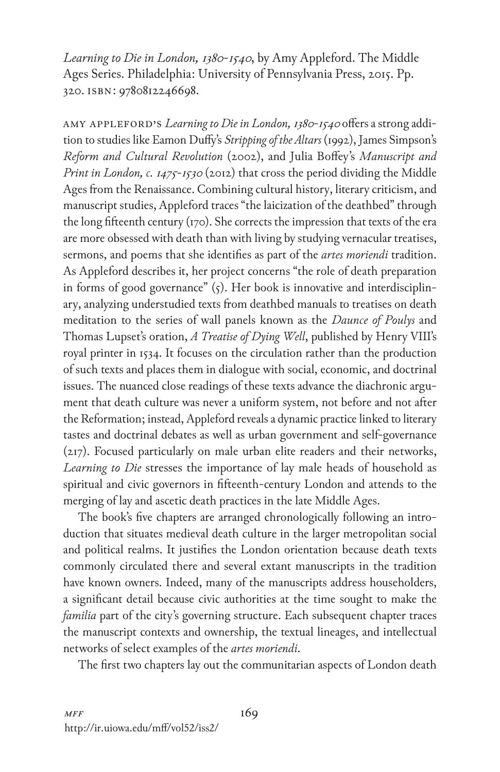*Learning to Die in London, 1380-1540*, by Amy Appleford. The Middle Ages Series. Philadelphia: University of Pennsylvania Press, 2015. Pp. 320. isbn: 9780812246698.

Amy Appleford's *Learning to Die in London, 1380-1540* offers a strong addition to studies like Eamon Duffy's *Stripping of the Altars* (1992), James Simpson's *Reform and Cultural Revolution* (2002), and Julia Boffey's *Manuscript and Print in London, c. 1475-1530* (2012) that cross the period dividing the Middle Ages from the Renaissance. Combining cultural history, literary criticism, and manuscript studies, Appleford traces "the laicization of the deathbed" through the long fifteenth century (170). She corrects the impression that texts of the era are more obsessed with death than with living by studying vernacular treatises, sermons, and poems that she identifies as part of the *artes moriendi* tradition. As Appleford describes it, her project concerns "the role of death preparation in forms of good governance" (5). Her book is innovative and interdisciplinary, analyzing understudied texts from deathbed manuals to treatises on death meditation to the series of wall panels known as the *Daunce of Poulys* and Thomas Lupset's oration, *A Treatise of Dying Well*, published by Henry VIII's royal printer in 1534. It focuses on the circulation rather than the production of such texts and places them in dialogue with social, economic, and doctrinal issues. The nuanced close readings of these texts advance the diachronic argument that death culture was never a uniform system, not before and not after the Reformation; instead, Appleford reveals a dynamic practice linked to literary tastes and doctrinal debates as well as urban government and self-governance (217). Focused particularly on male urban elite readers and their networks, *Learning to Die* stresses the importance of lay male heads of household as spiritual and civic governors in fifteenth-century London and attends to the merging of lay and ascetic death practices in the late Middle Ages.

The book's five chapters are arranged chronologically following an introduction that situates medieval death culture in the larger metropolitan social and political realms. It justifies the London orientation because death texts commonly circulated there and several extant manuscripts in the tradition have known owners. Indeed, many of the manuscripts address householders, a significant detail because civic authorities at the time sought to make the *familia* part of the city's governing structure. Each subsequent chapter traces the manuscript contexts and ownership, the textual lineages, and intellectual networks of select examples of the *artes moriendi*.

The first two chapters lay out the communitarian aspects of London death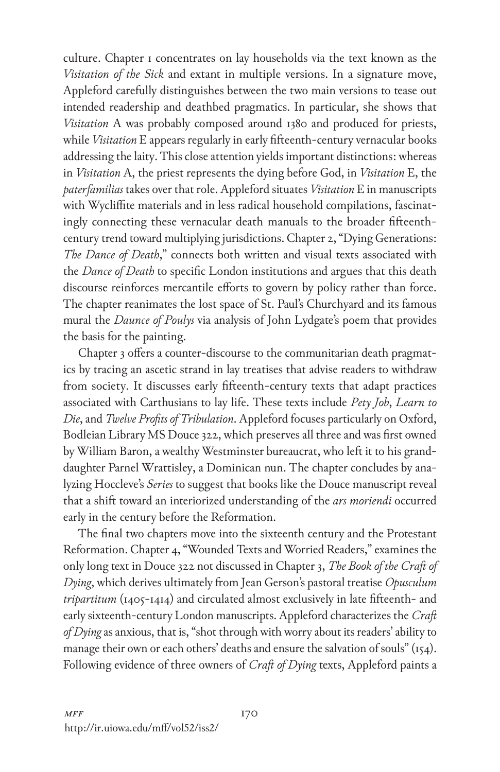culture. Chapter 1 concentrates on lay households via the text known as the *Visitation of the Sick* and extant in multiple versions. In a signature move, Appleford carefully distinguishes between the two main versions to tease out intended readership and deathbed pragmatics. In particular, she shows that *Visitation* A was probably composed around 1380 and produced for priests, while *Visitation* E appears regularly in early fifteenth-century vernacular books addressing the laity. This close attention yields important distinctions: whereas in *Visitation* A, the priest represents the dying before God, in *Visitation* E, the *paterfamilias* takes over that role. Appleford situates *Visitation* E in manuscripts with Wycliffite materials and in less radical household compilations, fascinatingly connecting these vernacular death manuals to the broader fifteenthcentury trend toward multiplying jurisdictions. Chapter 2, "Dying Generations: *The Dance of Death*," connects both written and visual texts associated with the *Dance of Death* to specific London institutions and argues that this death discourse reinforces mercantile efforts to govern by policy rather than force. The chapter reanimates the lost space of St. Paul's Churchyard and its famous mural the *Daunce of Poulys* via analysis of John Lydgate's poem that provides the basis for the painting.

Chapter 3 offers a counter-discourse to the communitarian death pragmatics by tracing an ascetic strand in lay treatises that advise readers to withdraw from society. It discusses early fifteenth-century texts that adapt practices associated with Carthusians to lay life. These texts include *Pety Job*, *Learn to Die*, and *Twelve Profits of Tribulation*. Appleford focuses particularly on Oxford, Bodleian Library MS Douce 322, which preserves all three and was first owned by William Baron, a wealthy Westminster bureaucrat, who left it to his granddaughter Parnel Wrattisley, a Dominican nun. The chapter concludes by analyzing Hoccleve's *Series* to suggest that books like the Douce manuscript reveal that a shift toward an interiorized understanding of the *ars moriendi* occurred early in the century before the Reformation.

The final two chapters move into the sixteenth century and the Protestant Reformation. Chapter 4, "Wounded Texts and Worried Readers," examines the only long text in Douce 322 not discussed in Chapter 3, *The Book of the Craft of Dying*, which derives ultimately from Jean Gerson's pastoral treatise *Opusculum tripartitum* (1405-1414) and circulated almost exclusively in late fifteenth- and early sixteenth-century London manuscripts. Appleford characterizes the *Craft of Dying* as anxious, that is, "shot through with worry about its readers' ability to manage their own or each others' deaths and ensure the salvation of souls" (154). Following evidence of three owners of *Craft of Dying* texts, Appleford paints a